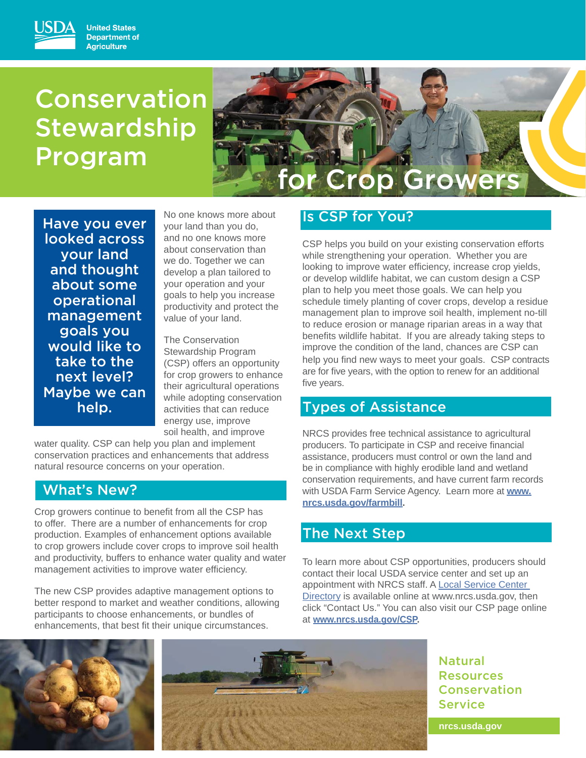# Conservation **Stewardship** Program



Have you ever looked across your land and thought about some operational management goals you would like to take to the next level? Maybe we can help.

No one knows more about your land than you do, and no one knows more about conservation than we do. Together we can develop a plan tailored to your operation and your goals to help you increase productivity and protect the value of your land.

The Conservation Stewardship Program (CSP) offers an opportunity for crop growers to enhance their agricultural operations while adopting conservation activities that can reduce energy use, improve soil health, and improve

water quality. CSP can help you plan and implement conservation practices and enhancements that address natural resource concerns on your operation.

## What's New?

Crop growers continue to benefit from all the CSP has to offer. There are a number of enhancements for crop production. Examples of enhancement options available to crop growers include cover crops to improve soil health and productivity, buffers to enhance water quality and water management activities to improve water efficiency.

The new CSP provides adaptive management options to better respond to market and weather conditions, allowing participants to choose enhancements, or bundles of enhancements, that best fit their unique circumstances.

# Is CSP for You?

CSP helps you build on your existing conservation efforts while strengthening your operation. Whether you are looking to improve water efficiency, increase crop yields, or develop wildlife habitat, we can custom design a CSP plan to help you meet those goals. We can help you schedule timely planting of cover crops, develop a residue management plan to improve soil health, implement no-till to reduce erosion or manage riparian areas in a way that benefits wildlife habitat. If you are already taking steps to improve the condition of the land, chances are CSP can help you find new ways to meet your goals. CSP contracts are for five years, with the option to renew for an additional five years.

# Types of Assistance

NRCS provides free technical assistance to agricultural producers. To participate in CSP and receive financial assistance, producers must control or own the land and be in compliance with highly erodible land and wetland conservation requirements, and have current farm records with USDA Farm Service Agency. Learn more at **www. nrcs.usda.gov/farmbill.**

# The Next Step

To learn more about CSP opportunities, producers should contact their local USDA service center and set up an appointment with NRCS staff. A Local Service Center Directory is available online at www.nrcs.usda.gov, then click "Contact Us." You can also visit our CSP page online at **www.nrcs.usda.gov/CSP.**





Natural Resources Conservation Service

**nrcs.usda.gov**